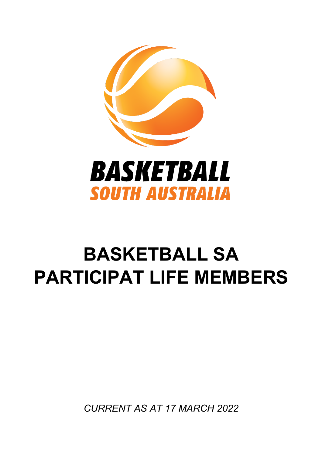

## **BASKETBALL SA PARTICIPAT LIFE MEMBERS**

*CURRENT AS AT 17 MARCH 2022*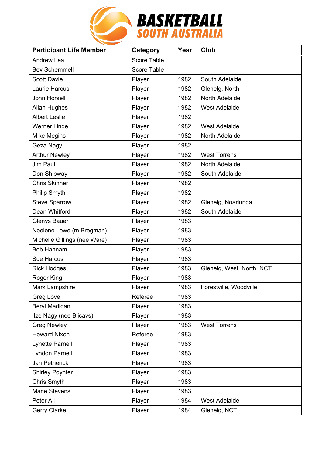

| <b>Participant Life Member</b> | <b>Category</b>    | Year | Club                      |
|--------------------------------|--------------------|------|---------------------------|
| <b>Andrew Lea</b>              | <b>Score Table</b> |      |                           |
| <b>Bev Schemmell</b>           | Score Table        |      |                           |
| <b>Scott Davie</b>             | Player             | 1982 | South Adelaide            |
| <b>Laurie Harcus</b>           | Player             | 1982 | Glenelg, North            |
| John Horsell                   | Player             | 1982 | North Adelaide            |
| Allan Hughes                   | Player             | 1982 | <b>West Adelaide</b>      |
| <b>Albert Leslie</b>           | Player             | 1982 |                           |
| <b>Werner Linde</b>            | Player             | 1982 | <b>West Adelaide</b>      |
| <b>Mike Megins</b>             | Player             | 1982 | North Adelaide            |
| Geza Nagy                      | Player             | 1982 |                           |
| <b>Arthur Newley</b>           | Player             | 1982 | <b>West Torrens</b>       |
| <b>Jim Paul</b>                | Player             | 1982 | North Adelaide            |
| Don Shipway                    | Player             | 1982 | South Adelaide            |
| <b>Chris Skinner</b>           | Player             | 1982 |                           |
| Philip Smyth                   | Player             | 1982 |                           |
| <b>Steve Sparrow</b>           | Player             | 1982 | Glenelg, Noarlunga        |
| Dean Whitford                  | Player             | 1982 | South Adelaide            |
| <b>Glenys Bauer</b>            | Player             | 1983 |                           |
| Noelene Lowe (m Bregman)       | Player             | 1983 |                           |
| Michelle Gillings (nee Ware)   | Player             | 1983 |                           |
| <b>Bob Hannam</b>              | Player             | 1983 |                           |
| <b>Sue Harcus</b>              | Player             | 1983 |                           |
| <b>Rick Hodges</b>             | Player             | 1983 | Glenelg, West, North, NCT |
| Roger King                     | Player             | 1983 |                           |
| Mark Lampshire                 | Player             | 1983 | Forestville, Woodville    |
| Greg Love                      | Referee            | 1983 |                           |
| Beryl Madigan                  | Player             | 1983 |                           |
| Ilze Nagy (nee Blicavs)        | Player             | 1983 |                           |
| <b>Greg Newley</b>             | Player             | 1983 | <b>West Torrens</b>       |
| <b>Howard Nixon</b>            | Referee            | 1983 |                           |
| Lynette Parnell                | Player             | 1983 |                           |
| <b>Lyndon Parnell</b>          | Player             | 1983 |                           |
| Jan Petherick                  | Player             | 1983 |                           |
| <b>Shirley Poynter</b>         | Player             | 1983 |                           |
| Chris Smyth                    | Player             | 1983 |                           |
| Marie Stevens                  | Player             | 1983 |                           |
| Peter Ali                      | Player             | 1984 | <b>West Adelaide</b>      |
| <b>Gerry Clarke</b>            | Player             | 1984 | Glenelg, NCT              |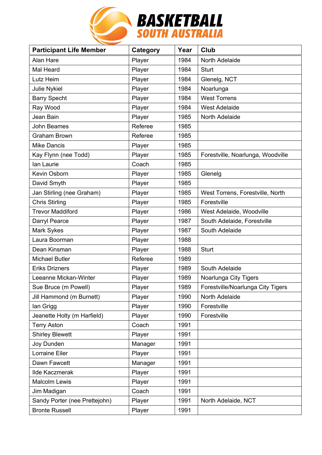

| <b>Participant Life Member</b> | Category | Year | <b>Club</b>                       |
|--------------------------------|----------|------|-----------------------------------|
| Alan Hare                      | Player   | 1984 | North Adelaide                    |
| Mal Heard                      | Player   | 1984 | <b>Sturt</b>                      |
| Lutz Heim                      | Player   | 1984 | Glenelg, NCT                      |
| <b>Julie Nykiel</b>            | Player   | 1984 | Noarlunga                         |
| <b>Barry Specht</b>            | Player   | 1984 | <b>West Torrens</b>               |
| Ray Wood                       | Player   | 1984 | <b>West Adelaide</b>              |
| Jean Bain                      | Player   | 1985 | North Adelaide                    |
| John Beames                    | Referee  | 1985 |                                   |
| <b>Graham Brown</b>            | Referee  | 1985 |                                   |
| <b>Mike Dancis</b>             | Player   | 1985 |                                   |
| Kay Flynn (nee Todd)           | Player   | 1985 | Forestville, Noarlunga, Woodville |
| lan Laurie                     | Coach    | 1985 |                                   |
| Kevin Osborn                   | Player   | 1985 | Glenelg                           |
| David Smyth                    | Player   | 1985 |                                   |
| Jan Stirling (nee Graham)      | Player   | 1985 | West Torrens, Forestville, North  |
| <b>Chris Stirling</b>          | Player   | 1985 | Forestville                       |
| <b>Trevor Maddiford</b>        | Player   | 1986 | West Adelaide, Woodville          |
| Darryl Pearce                  | Player   | 1987 | South Adelaide, Forestville       |
| Mark Sykes                     | Player   | 1987 | South Adelaide                    |
| Laura Boorman                  | Player   | 1988 |                                   |
| Dean Kinsman                   | Player   | 1988 | <b>Sturt</b>                      |
| <b>Michael Butler</b>          | Referee  | 1989 |                                   |
| <b>Eriks Drizners</b>          | Player   | 1989 | South Adelaide                    |
| Leeanne Mickan-Winter          | Player   | 1989 | Noarlunga City Tigers             |
| Sue Bruce (m Powell)           | Player   | 1989 | Forestville/Noarlunga City Tigers |
| Jill Hammond (m Burnett)       | Player   | 1990 | North Adelaide                    |
| lan Grigg                      | Player   | 1990 | Forestville                       |
| Jeanette Holty (m Harfield)    | Player   | 1990 | Forestville                       |
| <b>Terry Aston</b>             | Coach    | 1991 |                                   |
| <b>Shirley Blewett</b>         | Player   | 1991 |                                   |
| Joy Dunden                     | Manager  | 1991 |                                   |
| Lorraine Eiler                 | Player   | 1991 |                                   |
| Dawn Fawcett                   | Manager  | 1991 |                                   |
| <b>Ilde Kaczmerak</b>          | Player   | 1991 |                                   |
| <b>Malcolm Lewis</b>           | Player   | 1991 |                                   |
| Jim Madigan                    | Coach    | 1991 |                                   |
| Sandy Porter (nee Prettejohn)  | Player   | 1991 | North Adelaide, NCT               |
| <b>Bronte Russell</b>          | Player   | 1991 |                                   |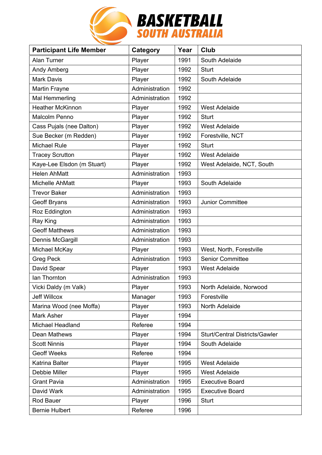

| <b>Participant Life Member</b> | Category       | Year | Club                                  |
|--------------------------------|----------------|------|---------------------------------------|
| Alan Turner                    | Player         | 1991 | South Adelaide                        |
| Andy Amberg                    | Player         | 1992 | <b>Sturt</b>                          |
| <b>Mark Davis</b>              | Player         | 1992 | South Adelaide                        |
| Martin Frayne                  | Administration | 1992 |                                       |
| Mal Hemmerling                 | Administration | 1992 |                                       |
| Heather McKinnon               | Player         | 1992 | <b>West Adelaide</b>                  |
| <b>Malcolm Penno</b>           | Player         | 1992 | <b>Sturt</b>                          |
| Cass Pujals (nee Dalton)       | Player         | 1992 | <b>West Adelaide</b>                  |
| Sue Becker (m Redden)          | Player         | 1992 | Forestville, NCT                      |
| <b>Michael Rule</b>            | Player         | 1992 | <b>Sturt</b>                          |
| <b>Tracey Scrutton</b>         | Player         | 1992 | <b>West Adelaide</b>                  |
| Kaye-Lee Elsdon (m Stuart)     | Player         | 1992 | West Adelaide, NCT, South             |
| <b>Helen AhMatt</b>            | Administration | 1993 |                                       |
| Michelle AhMatt                | Player         | 1993 | South Adelaide                        |
| <b>Trevor Baker</b>            | Administration | 1993 |                                       |
| <b>Geoff Bryans</b>            | Administration | 1993 | <b>Junior Committee</b>               |
| Roz Eddington                  | Administration | 1993 |                                       |
| Ray King                       | Administration | 1993 |                                       |
| <b>Geoff Matthews</b>          | Administration | 1993 |                                       |
| Dennis McGargill               | Administration | 1993 |                                       |
| Michael McKay                  | Player         | 1993 | West, North, Forestville              |
| <b>Greg Peck</b>               | Administration | 1993 | <b>Senior Committee</b>               |
| David Spear                    | Player         | 1993 | <b>West Adelaide</b>                  |
| lan Thornton                   | Administration | 1993 |                                       |
| Vicki Daldy (m Valk)           | Player         | 1993 | North Adelaide, Norwood               |
| <b>Jeff Willcox</b>            | Manager        | 1993 | Forestville                           |
| Marina Wood (nee Moffa)        | Player         | 1993 | North Adelaide                        |
| Mark Asher                     | Player         | 1994 |                                       |
| <b>Michael Headland</b>        | Referee        | 1994 |                                       |
| Dean Mathews                   | Player         | 1994 | <b>Sturt/Central Districts/Gawler</b> |
| <b>Scott Ninnis</b>            | Player         | 1994 | South Adelaide                        |
| <b>Geoff Weeks</b>             | Referee        | 1994 |                                       |
| Katrina Balter                 | Player         | 1995 | <b>West Adelaide</b>                  |
| Debbie Miller                  | Player         | 1995 | <b>West Adelaide</b>                  |
| <b>Grant Pavia</b>             | Administration | 1995 | <b>Executive Board</b>                |
| David Wark                     | Administration | 1995 | <b>Executive Board</b>                |
| Rod Bauer                      | Player         | 1996 | <b>Sturt</b>                          |
| <b>Bernie Hulbert</b>          | Referee        | 1996 |                                       |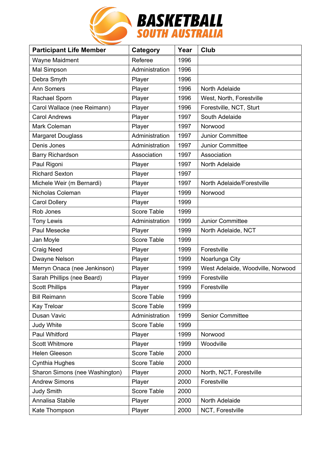

| <b>Participant Life Member</b> | <b>Category</b>    | Year | Club                              |
|--------------------------------|--------------------|------|-----------------------------------|
| <b>Wayne Maidment</b>          | Referee            | 1996 |                                   |
| Mal Simpson                    | Administration     | 1996 |                                   |
| Debra Smyth                    | Player             | 1996 |                                   |
| <b>Ann Somers</b>              | Player             | 1996 | North Adelaide                    |
| Rachael Sporn                  | Player             | 1996 | West, North, Forestville          |
| Carol Wallace (nee Reimann)    | Player             | 1996 | Forestville, NCT, Sturt           |
| <b>Carol Andrews</b>           | Player             | 1997 | South Adelaide                    |
| Mark Coleman                   | Player             | 1997 | Norwood                           |
| <b>Margaret Douglass</b>       | Administration     | 1997 | Junior Committee                  |
| Denis Jones                    | Administration     | 1997 | Junior Committee                  |
| Barry Richardson               | Association        | 1997 | Association                       |
| Paul Rigoni                    | Player             | 1997 | North Adelaide                    |
| <b>Richard Sexton</b>          | Player             | 1997 |                                   |
| Michele Weir (m Bernardi)      | Player             | 1997 | North Adelaide/Forestville        |
| Nicholas Coleman               | Player             | 1999 | Norwood                           |
| <b>Carol Dollery</b>           | Player             | 1999 |                                   |
| Rob Jones                      | Score Table        | 1999 |                                   |
| <b>Tony Lewis</b>              | Administration     | 1999 | Junior Committee                  |
| Paul Mesecke                   | Player             | 1999 | North Adelaide, NCT               |
| Jan Moyle                      | <b>Score Table</b> | 1999 |                                   |
| <b>Craig Need</b>              | Player             | 1999 | Forestville                       |
| Dwayne Nelson                  | Player             | 1999 | Noarlunga City                    |
| Merryn Onaca (nee Jenkinson)   | Player             | 1999 | West Adelaide, Woodville, Norwood |
| Sarah Phillips (nee Beard)     | Player             | 1999 | Forestville                       |
| <b>Scott Phillips</b>          | Player             | 1999 | Forestville                       |
| <b>Bill Reimann</b>            | Score Table        | 1999 |                                   |
| Kay Treloar                    | <b>Score Table</b> | 1999 |                                   |
| Dusan Vavic                    | Administration     | 1999 | <b>Senior Committee</b>           |
| <b>Judy White</b>              | Score Table        | 1999 |                                   |
| Paul Whitford                  | Player             | 1999 | Norwood                           |
| <b>Scott Whitmore</b>          | Player             | 1999 | Woodville                         |
| <b>Helen Gleeson</b>           | <b>Score Table</b> | 2000 |                                   |
| <b>Cynthia Hughes</b>          | Score Table        | 2000 |                                   |
| Sharon Simons (nee Washington) | Player             | 2000 | North, NCT, Forestville           |
| <b>Andrew Simons</b>           | Player             | 2000 | Forestville                       |
| <b>Judy Smith</b>              | Score Table        | 2000 |                                   |
| Annalisa Stabile               | Player             | 2000 | North Adelaide                    |
| Kate Thompson                  | Player             | 2000 | NCT, Forestville                  |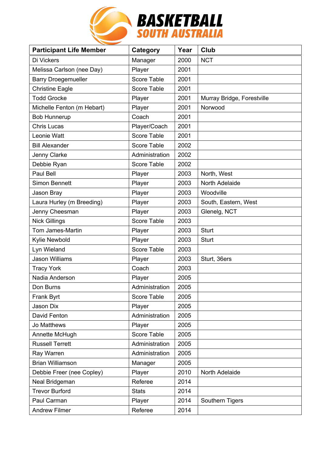

| <b>Participant Life Member</b> | Category       | Year | <b>Club</b>                |
|--------------------------------|----------------|------|----------------------------|
| Di Vickers                     | Manager        | 2000 | <b>NCT</b>                 |
| Melissa Carlson (nee Day)      | Player         | 2001 |                            |
| <b>Barry Droegemueller</b>     | Score Table    | 2001 |                            |
| <b>Christine Eagle</b>         | Score Table    | 2001 |                            |
| <b>Todd Grocke</b>             | Player         | 2001 | Murray Bridge, Forestville |
| Michelle Fenton (m Hebart)     | Player         | 2001 | Norwood                    |
| <b>Bob Hunnerup</b>            | Coach          | 2001 |                            |
| <b>Chris Lucas</b>             | Player/Coach   | 2001 |                            |
| Leonie Watt                    | Score Table    | 2001 |                            |
| <b>Bill Alexander</b>          | Score Table    | 2002 |                            |
| Jenny Clarke                   | Administration | 2002 |                            |
| Debbie Ryan                    | Score Table    | 2002 |                            |
| Paul Bell                      | Player         | 2003 | North, West                |
| Simon Bennett                  | Player         | 2003 | North Adelaide             |
| Jason Bray                     | Player         | 2003 | Woodville                  |
| Laura Hurley (m Breeding)      | Player         | 2003 | South, Eastern, West       |
| Jenny Cheesman                 | Player         | 2003 | Glenelg, NCT               |
| <b>Nick Gillings</b>           | Score Table    | 2003 |                            |
| Tom James-Martin               | Player         | 2003 | <b>Sturt</b>               |
| Kylie Newbold                  | Player         | 2003 | <b>Sturt</b>               |
| Lyn Wieland                    | Score Table    | 2003 |                            |
| <b>Jason Williams</b>          | Player         | 2003 | Sturt, 36ers               |
| <b>Tracy York</b>              | Coach          | 2003 |                            |
| Nadia Anderson                 | Player         | 2005 |                            |
| Don Burns                      | Administration | 2005 |                            |
| Frank Byrt                     | Score Table    | 2005 |                            |
| Jason Dix                      | Player         | 2005 |                            |
| David Fenton                   | Administration | 2005 |                            |
| Jo Matthews                    | Player         | 2005 |                            |
| Annette McHugh                 | Score Table    | 2005 |                            |
| <b>Russell Terrett</b>         | Administration | 2005 |                            |
| Ray Warren                     | Administration | 2005 |                            |
| <b>Brian Williamson</b>        | Manager        | 2005 |                            |
| Debbie Freer (nee Copley)      | Player         | 2010 | North Adelaide             |
| Neal Bridgeman                 | Referee        | 2014 |                            |
| <b>Trevor Burford</b>          | <b>Stats</b>   | 2014 |                            |
| Paul Carman                    | Player         | 2014 | Southern Tigers            |
| <b>Andrew Filmer</b>           | Referee        | 2014 |                            |